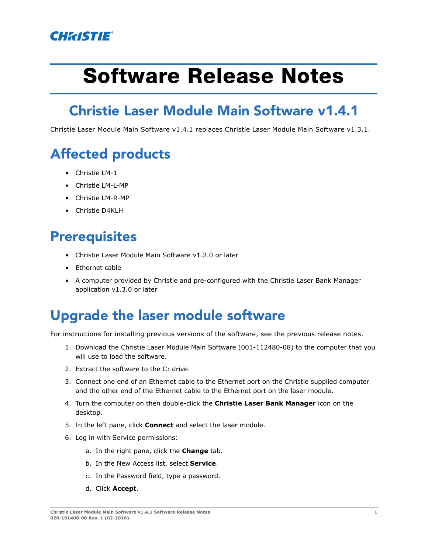

# **Software Release Notes**

### **Christie Laser Module Main Software v1.4.1**

Christie Laser Module Main Software v1.4.1 replaces Christie Laser Module Main Software v1.3.1.

### **Affected products**

- Christie LM-1
- Christie LM-L-MP
- Christie LM-R-MP
- Christie D4KLH

#### **Prerequisites**

- Christie Laser Module Main Software v1.2.0 or later
- Ethernet cable
- A computer provided by Christie and pre-configured with the Christie Laser Bank Manager application v1.3.0 or later

#### **Upgrade the laser module software**

For instructions for installing previous versions of the software, see the previous release notes.

- 1. Download the Christie Laser Module Main Software (001-112480-08) to the computer that you will use to load the software.
- 2. Extract the software to the C: drive.
- 3. Connect one end of an Ethernet cable to the Ethernet port on the Christie supplied computer and the other end of the Ethernet cable to the Ethernet port on the laser module.
- 4. Turn the computer on then double-click the **Christie Laser Bank Manager** icon on the desktop.
- 5. In the left pane, click **Connect** and select the laser module.
- 6. Log in with Service permissions:
	- a. In the right pane, click the **Change** tab.
	- b. In the New Access list, select **Service**.
	- c. In the Password field, type a password.
	- d. Click **Accept**.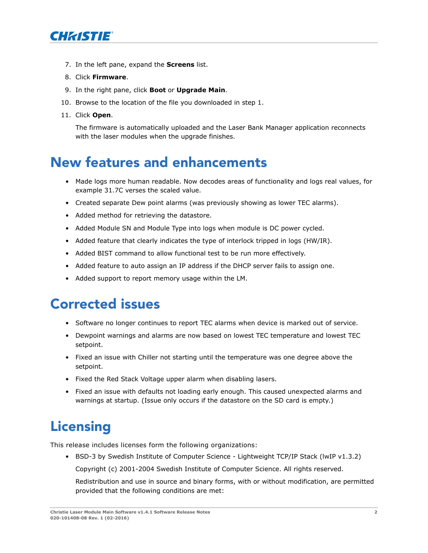

- 7. In the left pane, expand the **Screens** list.
- 8. Click **Firmware**.
- 9. In the right pane, click **Boot** or **Upgrade Main**.
- 10. Browse to the location of the file you downloaded in step 1.
- 11. Click **Open**.

The firmware is automatically uploaded and the Laser Bank Manager application reconnects with the laser modules when the upgrade finishes.

#### **New features and enhancements**

- Made logs more human readable. Now decodes areas of functionality and logs real values, for example 31.7C verses the scaled value.
- Created separate Dew point alarms (was previously showing as lower TEC alarms).
- Added method for retrieving the datastore.
- Added Module SN and Module Type into logs when module is DC power cycled.
- Added feature that clearly indicates the type of interlock tripped in logs (HW/IR).
- Added BIST command to allow functional test to be run more effectively.
- Added feature to auto assign an IP address if the DHCP server fails to assign one.
- Added support to report memory usage within the LM.

#### **Corrected issues**

- Software no longer continues to report TEC alarms when device is marked out of service.
- Dewpoint warnings and alarms are now based on lowest TEC temperature and lowest TEC setpoint.
- Fixed an issue with Chiller not starting until the temperature was one degree above the setpoint.
- Fixed the Red Stack Voltage upper alarm when disabling lasers.
- Fixed an issue with defaults not loading early enough. This caused unexpected alarms and warnings at startup. (Issue only occurs if the datastore on the SD card is empty.)

## **Licensing**

This release includes licenses form the following organizations:

- BSD-3 by Swedish Institute of Computer Science Lightweight TCP/IP Stack (lwIP v1.3.2)
	- Copyright (c) 2001-2004 Swedish Institute of Computer Science. All rights reserved.

Redistribution and use in source and binary forms, with or without modification, are permitted provided that the following conditions are met: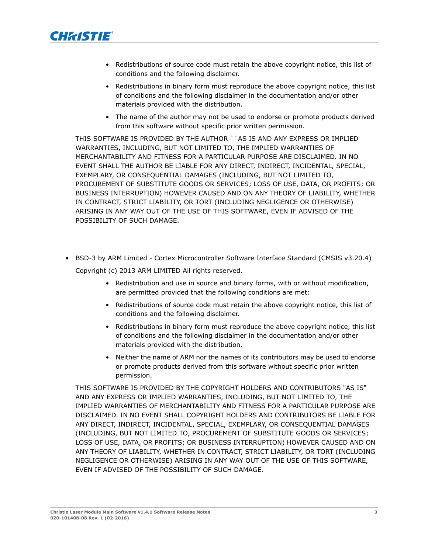

- Redistributions of source code must retain the above copyright notice, this list of conditions and the following disclaimer.
- Redistributions in binary form must reproduce the above copyright notice, this list of conditions and the following disclaimer in the documentation and/or other materials provided with the distribution.
- The name of the author may not be used to endorse or promote products derived from this software without specific prior written permission.

THIS SOFTWARE IS PROVIDED BY THE AUTHOR ``AS IS AND ANY EXPRESS OR IMPLIED WARRANTIES, INCLUDING, BUT NOT LIMITED TO, THE IMPLIED WARRANTIES OF MERCHANTABILITY AND FITNESS FOR A PARTICULAR PURPOSE ARE DISCLAIMED. IN NO EVENT SHALL THE AUTHOR BE LIABLE FOR ANY DIRECT, INDIRECT, INCIDENTAL, SPECIAL, EXEMPLARY, OR CONSEQUENTIAL DAMAGES (INCLUDING, BUT NOT LIMITED TO, PROCUREMENT OF SUBSTITUTE GOODS OR SERVICES; LOSS OF USE, DATA, OR PROFITS; OR BUSINESS INTERRUPTION) HOWEVER CAUSED AND ON ANY THEORY OF LIABILITY, WHETHER IN CONTRACT, STRICT LIABILITY, OR TORT (INCLUDING NEGLIGENCE OR OTHERWISE) ARISING IN ANY WAY OUT OF THE USE OF THIS SOFTWARE, EVEN IF ADVISED OF THE POSSIBILITY OF SUCH DAMAGE.

- BSD-3 by ARM Limited Cortex Microcontroller Software Interface Standard (CMSIS v3.20.4) Copyright (c) 2013 ARM LIMITED All rights reserved.
	- Redistribution and use in source and binary forms, with or without modification, are permitted provided that the following conditions are met:
	- Redistributions of source code must retain the above copyright notice, this list of conditions and the following disclaimer.
	- Redistributions in binary form must reproduce the above copyright notice, this list of conditions and the following disclaimer in the documentation and/or other materials provided with the distribution.
	- Neither the name of ARM nor the names of its contributors may be used to endorse or promote products derived from this software without specific prior written permission.

THIS SOFTWARE IS PROVIDED BY THE COPYRIGHT HOLDERS AND CONTRIBUTORS "AS IS" AND ANY EXPRESS OR IMPLIED WARRANTIES, INCLUDING, BUT NOT LIMITED TO, THE IMPLIED WARRANTIES OF MERCHANTABILITY AND FITNESS FOR A PARTICULAR PURPOSE ARE DISCLAIMED. IN NO EVENT SHALL COPYRIGHT HOLDERS AND CONTRIBUTORS BE LIABLE FOR ANY DIRECT, INDIRECT, INCIDENTAL, SPECIAL, EXEMPLARY, OR CONSEQUENTIAL DAMAGES (INCLUDING, BUT NOT LIMITED TO, PROCUREMENT OF SUBSTITUTE GOODS OR SERVICES; LOSS OF USE, DATA, OR PROFITS; OR BUSINESS INTERRUPTION) HOWEVER CAUSED AND ON ANY THEORY OF LIABILITY, WHETHER IN CONTRACT, STRICT LIABILITY, OR TORT (INCLUDING NEGLIGENCE OR OTHERWISE) ARISING IN ANY WAY OUT OF THE USE OF THIS SOFTWARE, EVEN IF ADVISED OF THE POSSIBILITY OF SUCH DAMAGE.